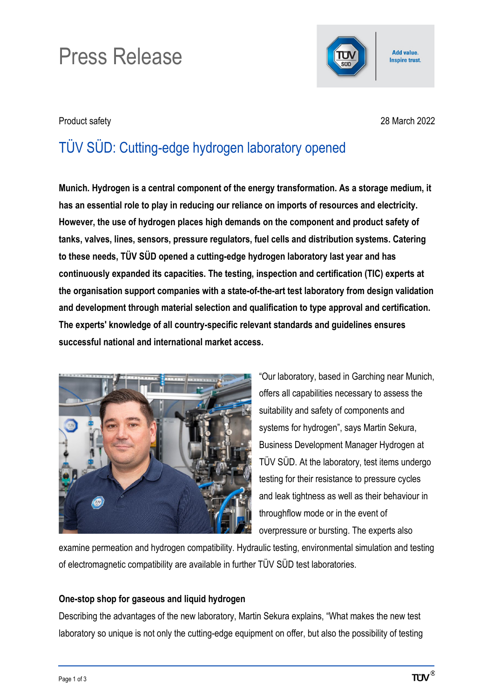# Press Release



Add value. **Inspire trust.** 

Product safety 28 March 2022

# TÜV SÜD: Cutting-edge hydrogen laboratory opened

**Munich. Hydrogen is a central component of the energy transformation. As a storage medium, it has an essential role to play in reducing our reliance on imports of resources and electricity. However, the use of hydrogen places high demands on the component and product safety of tanks, valves, lines, sensors, pressure regulators, fuel cells and distribution systems. Catering to these needs, TÜV SÜD opened a cutting-edge hydrogen laboratory last year and has continuously expanded its capacities. The testing, inspection and certification (TIC) experts at the organisation support companies with a state-of-the-art test laboratory from design validation and development through material selection and qualification to type approval and certification. The experts' knowledge of all country-specific relevant standards and guidelines ensures successful national and international market access.**



"Our laboratory, based in Garching near Munich, offers all capabilities necessary to assess the suitability and safety of components and systems for hydrogen", says Martin Sekura, Business Development Manager Hydrogen at TÜV SÜD. At the laboratory, test items undergo testing for their resistance to pressure cycles and leak tightness as well as their behaviour in throughflow mode or in the event of overpressure or bursting. The experts also

examine permeation and hydrogen compatibility. Hydraulic testing, environmental simulation and testing of electromagnetic compatibility are available in further TÜV SÜD test laboratories.

## **One-stop shop for gaseous and liquid hydrogen**

Describing the advantages of the new laboratory, Martin Sekura explains, "What makes the new test laboratory so unique is not only the cutting-edge equipment on offer, but also the possibility of testing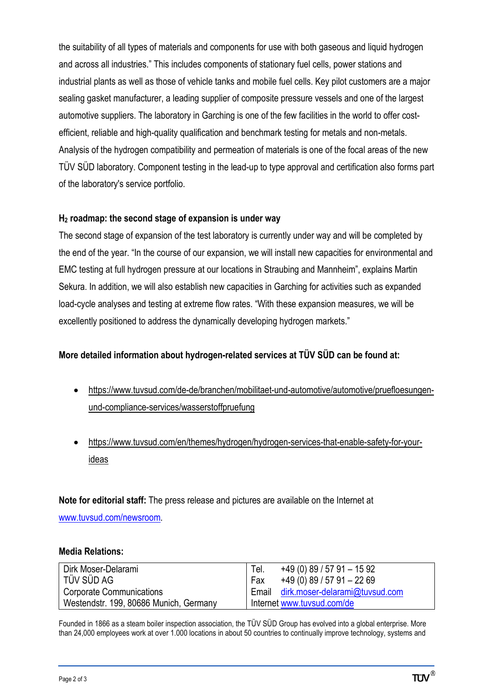the suitability of all types of materials and components for use with both gaseous and liquid hydrogen and across all industries." This includes components of stationary fuel cells, power stations and industrial plants as well as those of vehicle tanks and mobile fuel cells. Key pilot customers are a major sealing gasket manufacturer, a leading supplier of composite pressure vessels and one of the largest automotive suppliers. The laboratory in Garching is one of the few facilities in the world to offer costefficient, reliable and high-quality qualification and benchmark testing for metals and non-metals. Analysis of the hydrogen compatibility and permeation of materials is one of the focal areas of the new TÜV SÜD laboratory. Component testing in the lead-up to type approval and certification also forms part of the laboratory's service portfolio.

#### **H2 roadmap: the second stage of expansion is under way**

The second stage of expansion of the test laboratory is currently under way and will be completed by the end of the year. "In the course of our expansion, we will install new capacities for environmental and EMC testing at full hydrogen pressure at our locations in Straubing and Mannheim", explains Martin Sekura. In addition, we will also establish new capacities in Garching for activities such as expanded load-cycle analyses and testing at extreme flow rates. "With these expansion measures, we will be excellently positioned to address the dynamically developing hydrogen markets."

### **More detailed information about hydrogen-related services at TÜV SÜD can be found at:**

- [https://www.tuvsud.com/de-de/branchen/mobilitaet-und-automotive/automotive/pruefloesungen](https://www.tuvsud.com/de-de/branchen/mobilitaet-und-automotive/automotive/pruefloesungen-und-compliance-services/wasserstoffpruefung)[und-compliance-services/wasserstoffpruefung](https://www.tuvsud.com/de-de/branchen/mobilitaet-und-automotive/automotive/pruefloesungen-und-compliance-services/wasserstoffpruefung)
- [https://www.tuvsud.com/en/themes/hydrogen/hydrogen-services-that-enable-safety-for-your](https://www.tuvsud.com/en/themes/hydrogen/hydrogen-services-that-enable-safety-for-your-ideas)[ideas](https://www.tuvsud.com/en/themes/hydrogen/hydrogen-services-that-enable-safety-for-your-ideas)

**Note for editorial staff:** The press release and pictures are available on the Internet at [www.tuvsud.com/newsroom.](http://www.tuvsud.com/newsroom)

#### **Media Relations:**

| Dirk Moser-Delarami                    | $+49(0)89/5791-1592$<br>Tel.         |
|----------------------------------------|--------------------------------------|
| l TÜV SÜD AG                           | $+49(0)89/5791-2269$<br>Fax          |
| Corporate Communications               | Email dirk.moser-delarami@tuvsud.com |
| Westendstr. 199, 80686 Munich, Germany | Internet www.tuvsud.com/de           |

Founded in 1866 as a steam boiler inspection association, the TÜV SÜD Group has evolved into a global enterprise. More than 24,000 employees work at over 1.000 locations in about 50 countries to continually improve technology, systems and